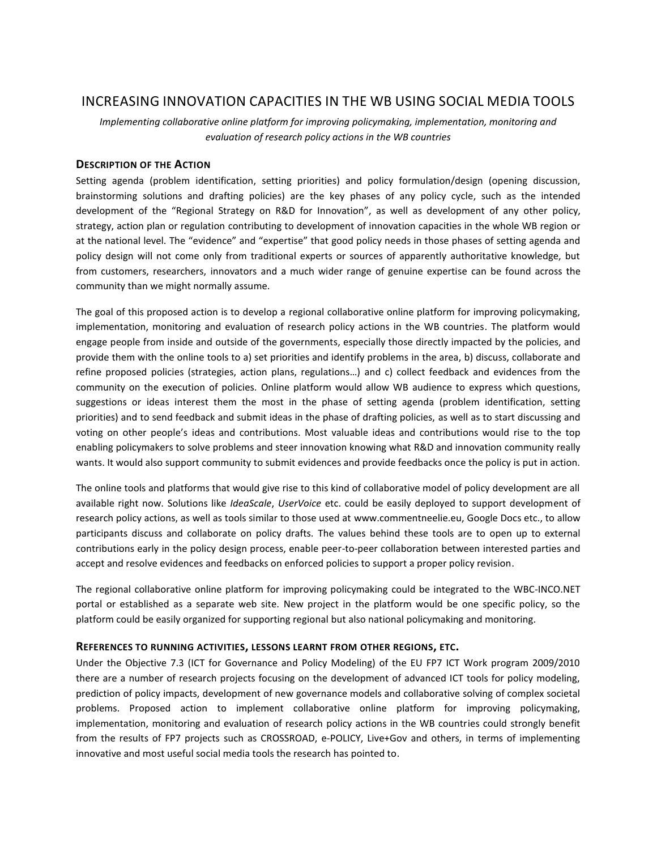# INCREASING INNOVATION CAPACITIES IN THE WB USING SOCIAL MEDIA TOOLS

*Implementing collaborative online platform for improving policymaking, implementation, monitoring and evaluation of research policy actions in the WB countries*

# **DESCRIPTION OF THE ACTION**

Setting agenda (problem identification, setting priorities) and policy formulation/design (opening discussion, brainstorming solutions and drafting policies) are the key phases of any policy cycle, such as the intended development of the "Regional Strategy on R&D for Innovation", as well as development of any other policy, strategy, action plan or regulation contributing to development of innovation capacities in the whole WB region or at the national level. The "evidence" and "expertise" that good policy needs in those phases of setting agenda and policy design will not come only from traditional experts or sources of apparently authoritative knowledge, but from customers, researchers, innovators and a much wider range of genuine expertise can be found across the community than we might normally assume.

The goal of this proposed action is to develop a regional collaborative online platform for improving policymaking, implementation, monitoring and evaluation of research policy actions in the WB countries. The platform would engage people from inside and outside of the governments, especially those directly impacted by the policies, and provide them with the online tools to a) set priorities and identify problems in the area, b) discuss, collaborate and refine proposed policies (strategies, action plans, regulations…) and c) collect feedback and evidences from the community on the execution of policies. Online platform would allow WB audience to express which questions, suggestions or ideas interest them the most in the phase of setting agenda (problem identification, setting priorities) and to send feedback and submit ideas in the phase of drafting policies, as well as to start discussing and voting on other people's ideas and contributions. Most valuable ideas and contributions would rise to the top enabling policymakers to solve problems and steer innovation knowing what R&D and innovation community really wants. It would also support community to submit evidences and provide feedbacks once the policy is put in action.

The online tools and platforms that would give rise to this kind of collaborative model of policy development are all available right now. Solutions like *IdeaScale*, *UserVoice* etc. could be easily deployed to support development of research policy actions, as well as tools similar to those used at www.commentneelie.eu, Google Docs etc., to allow participants discuss and collaborate on policy drafts. The values behind these tools are to open up to external contributions early in the policy design process, enable peer-to-peer collaboration between interested parties and accept and resolve evidences and feedbacks on enforced policies to support a proper policy revision.

The regional collaborative online platform for improving policymaking could be integrated to the WBC-INCO.NET portal or established as a separate web site. New project in the platform would be one specific policy, so the platform could be easily organized for supporting regional but also national policymaking and monitoring.

# **REFERENCES TO RUNNING ACTIVITIES, LESSONS LEARNT FROM OTHER REGIONS, ETC.**

Under the Objective 7.3 (ICT for Governance and Policy Modeling) of the EU FP7 ICT Work program 2009/2010 there are a number of research projects focusing on the development of advanced ICT tools for policy modeling, prediction of policy impacts, development of new governance models and collaborative solving of complex societal problems. Proposed action to implement collaborative online platform for improving policymaking, implementation, monitoring and evaluation of research policy actions in the WB countries could strongly benefit from the results of FP7 projects such as CROSSROAD, e-POLICY, Live+Gov and others, in terms of implementing innovative and most useful social media tools the research has pointed to.